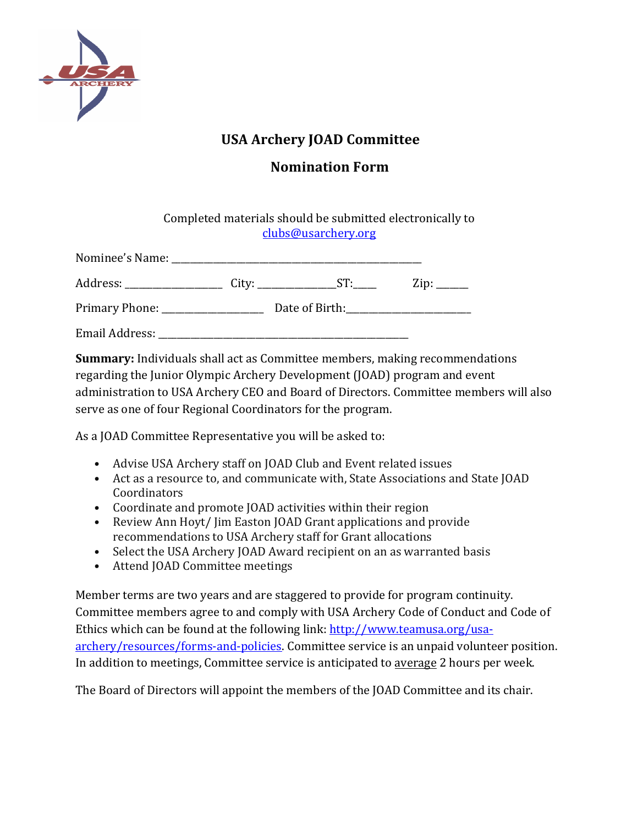

## **USA Archery JOAD Committee**

## **Nomination Form**

Completed materials should be submitted electronically to [clubs@usarchery.org](mailto:clubs@usarchery.org)

| Address: __________________ | $City:$ ST: ST:                    | $\mathsf{Zip:} \_\_\_\_\_\$ |
|-----------------------------|------------------------------------|-----------------------------|
|                             | Date of Birth: The State of Birth: |                             |
| Email Address:              |                                    |                             |

**Summary:** Individuals shall act as Committee members, making recommendations regarding the Junior Olympic Archery Development (JOAD) program and event administration to USA Archery CEO and Board of Directors. Committee members will also serve as one of four Regional Coordinators for the program.

As a JOAD Committee Representative you will be asked to:

- Advise USA Archery staff on JOAD Club and Event related issues
- Act as a resource to, and communicate with, State Associations and State JOAD Coordinators
- Coordinate and promote JOAD activities within their region
- Review Ann Hoyt/ Jim Easton JOAD Grant applications and provide recommendations to USA Archery staff for Grant allocations
- Select the USA Archery JOAD Award recipient on an as warranted basis
- Attend JOAD Committee meetings

Member terms are two years and are staggered to provide for program continuity. Committee members agree to and comply with USA Archery Code of Conduct and Code of Ethics which can be found at the following link: http://www.teamusa.org/usaarchery/resources/forms-and-policies. Committee service is an unpaid volunteer position. In addition to meetings, Committee service is anticipated to average 2 hours per week.

The Board of Directors will appoint the members of the JOAD Committee and its chair.